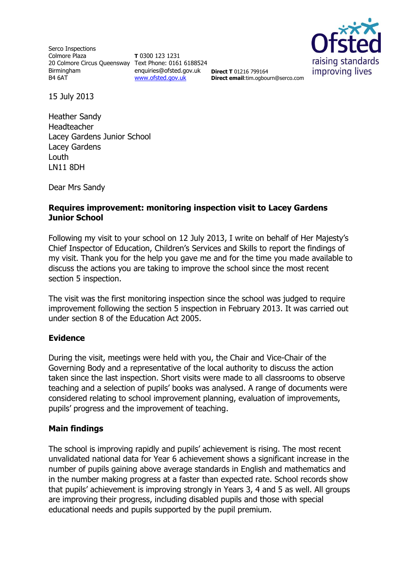Serco Inspections Colmore Plaza 20 Colmore Circus Queensway Text Phone: 0161 6188524 Birmingham B4 6AT

**T** 0300 123 1231 enquiries@ofsted.gov.uk [www.ofsted.gov.uk](http://www.ofsted.gov.uk/)



**Direct T** 01216 799164 **Direct email**:tim.ogbourn@serco.com

15 July 2013

Heather Sandy Headteacher Lacey Gardens Junior School Lacey Gardens Louth LN11 8DH

Dear Mrs Sandy

## **Requires improvement: monitoring inspection visit to Lacey Gardens Junior School**

Following my visit to your school on 12 July 2013, I write on behalf of Her Majesty's Chief Inspector of Education, Children's Services and Skills to report the findings of my visit. Thank you for the help you gave me and for the time you made available to discuss the actions you are taking to improve the school since the most recent section 5 inspection.

The visit was the first monitoring inspection since the school was judged to require improvement following the section 5 inspection in February 2013. It was carried out under section 8 of the Education Act 2005.

## **Evidence**

During the visit, meetings were held with you, the Chair and Vice-Chair of the Governing Body and a representative of the local authority to discuss the action taken since the last inspection. Short visits were made to all classrooms to observe teaching and a selection of pupils' books was analysed. A range of documents were considered relating to school improvement planning, evaluation of improvements, pupils' progress and the improvement of teaching.

## **Main findings**

The school is improving rapidly and pupils' achievement is rising. The most recent unvalidated national data for Year 6 achievement shows a significant increase in the number of pupils gaining above average standards in English and mathematics and in the number making progress at a faster than expected rate. School records show that pupils' achievement is improving strongly in Years 3, 4 and 5 as well. All groups are improving their progress, including disabled pupils and those with special educational needs and pupils supported by the pupil premium.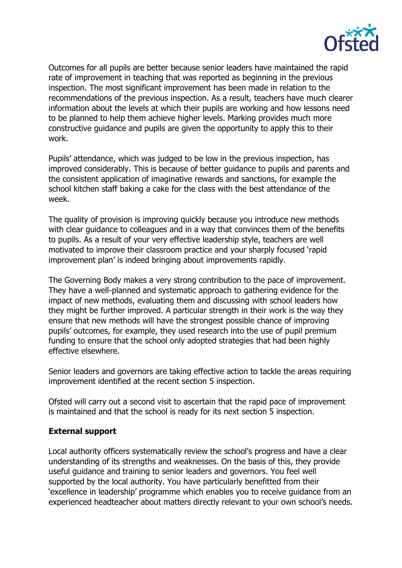

Outcomes for all pupils are better because senior leaders have maintained the rapid rate of improvement in teaching that was reported as beginning in the previous inspection. The most significant improvement has been made in relation to the recommendations of the previous inspection. As a result, teachers have much clearer information about the levels at which their pupils are working and how lessons need to be planned to help them achieve higher levels. Marking provides much more constructive guidance and pupils are given the opportunity to apply this to their work.

Pupils' attendance, which was judged to be low in the previous inspection, has improved considerably. This is because of better guidance to pupils and parents and the consistent application of imaginative rewards and sanctions, for example the school kitchen staff baking a cake for the class with the best attendance of the week.

The quality of provision is improving quickly because you introduce new methods with clear guidance to colleagues and in a way that convinces them of the benefits to pupils. As a result of your very effective leadership style, teachers are well motivated to improve their classroom practice and your sharply focused 'rapid improvement plan' is indeed bringing about improvements rapidly.

The Governing Body makes a very strong contribution to the pace of improvement. They have a well-planned and systematic approach to gathering evidence for the impact of new methods, evaluating them and discussing with school leaders how they might be further improved. A particular strength in their work is the way they ensure that new methods will have the strongest possible chance of improving pupils' outcomes, for example, they used research into the use of pupil premium funding to ensure that the school only adopted strategies that had been highly effective elsewhere.

Senior leaders and governors are taking effective action to tackle the areas requiring improvement identified at the recent section 5 inspection.

Ofsted will carry out a second visit to ascertain that the rapid pace of improvement is maintained and that the school is ready for its next section 5 inspection.

## **External support**

Local authority officers systematically review the school's progress and have a clear understanding of its strengths and weaknesses. On the basis of this, they provide useful guidance and training to senior leaders and governors. You feel well supported by the local authority. You have particularly benefitted from their 'excellence in leadership' programme which enables you to receive guidance from an experienced headteacher about matters directly relevant to your own school's needs.